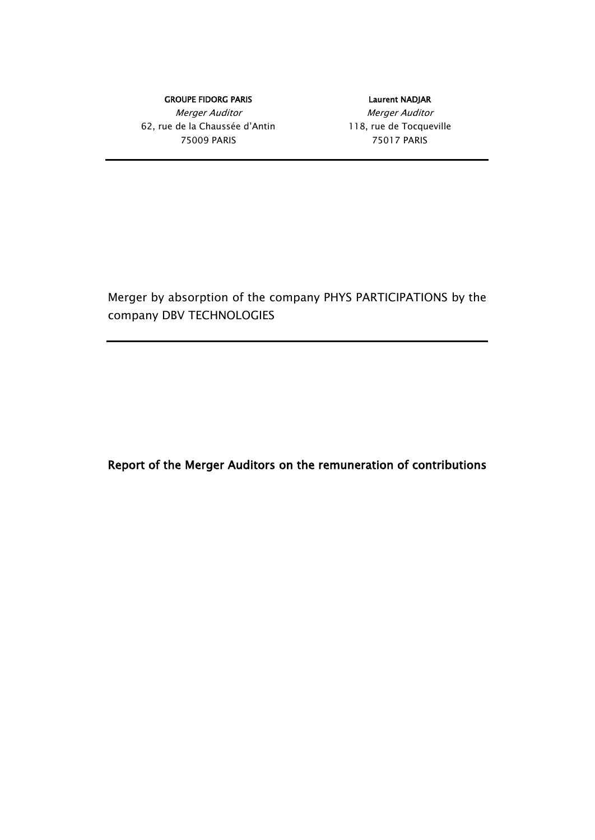GROUPE FIDORG PARIS **EXECUTE SERVICES** Laurent NADJAR Merger Auditor Nerger Auditor 62, rue de la Chaussée d'Antin 118, rue de Tocqueville 75009 PARIS 75017 PARIS

Merger by absorption of the company PHYS PARTICIPATIONS by the company DBV TECHNOLOGIES

Report of the Merger Auditors on the remuneration of contributions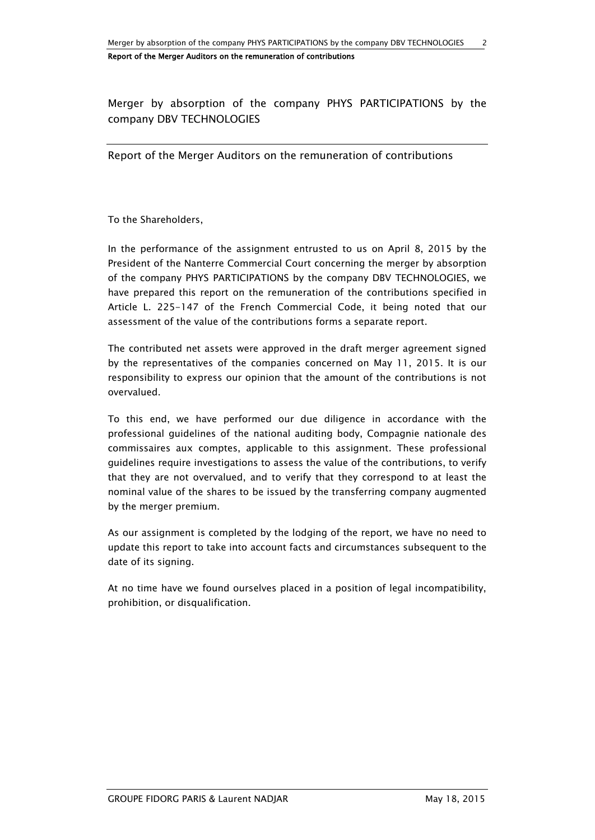Merger by absorption of the company PHYS PARTICIPATIONS by the company DBV TECHNOLOGIES

Report of the Merger Auditors on the remuneration of contributions

To the Shareholders,

In the performance of the assignment entrusted to us on April 8, 2015 by the President of the Nanterre Commercial Court concerning the merger by absorption of the company PHYS PARTICIPATIONS by the company DBV TECHNOLOGIES, we have prepared this report on the remuneration of the contributions specified in Article L. 225-147 of the French Commercial Code, it being noted that our assessment of the value of the contributions forms a separate report.

The contributed net assets were approved in the draft merger agreement signed by the representatives of the companies concerned on May 11, 2015. It is our responsibility to express our opinion that the amount of the contributions is not overvalued.

To this end, we have performed our due diligence in accordance with the professional guidelines of the national auditing body, Compagnie nationale des commissaires aux comptes, applicable to this assignment. These professional guidelines require investigations to assess the value of the contributions, to verify that they are not overvalued, and to verify that they correspond to at least the nominal value of the shares to be issued by the transferring company augmented by the merger premium.

As our assignment is completed by the lodging of the report, we have no need to update this report to take into account facts and circumstances subsequent to the date of its signing.

At no time have we found ourselves placed in a position of legal incompatibility, prohibition, or disqualification.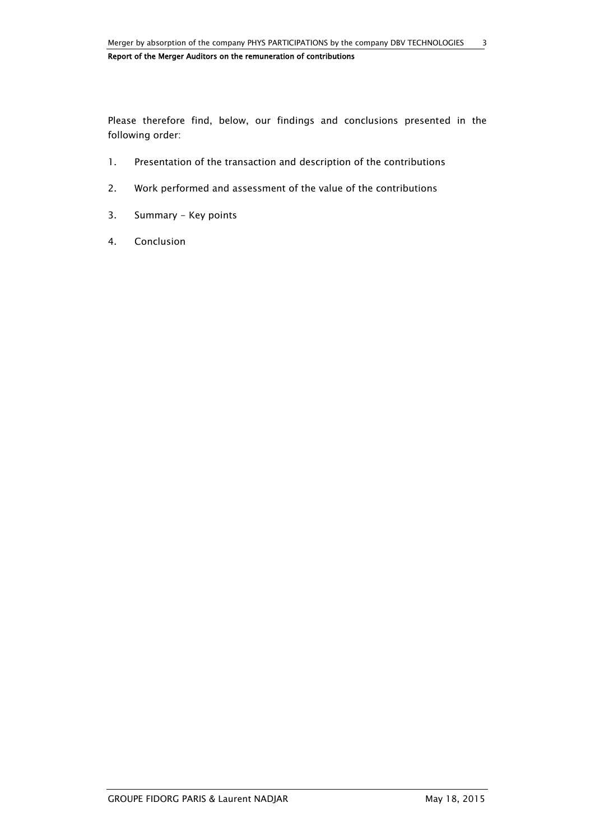Please therefore find, below, our findings and conclusions presented in the following order:

- 1. Presentation of the transaction and description of the contributions
- 2. Work performed and assessment of the value of the contributions
- 3. Summary Key points
- 4. Conclusion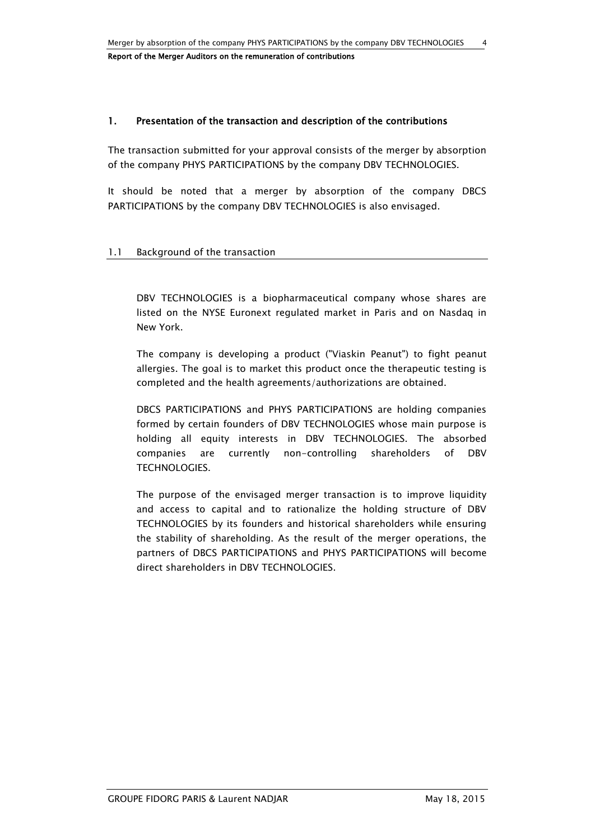# 1. Presentation of the transaction and description of the contributions

The transaction submitted for your approval consists of the merger by absorption of the company PHYS PARTICIPATIONS by the company DBV TECHNOLOGIES.

It should be noted that a merger by absorption of the company DBCS PARTICIPATIONS by the company DBV TECHNOLOGIES is also envisaged.

#### 1.1 Background of the transaction

DBV TECHNOLOGIES is a biopharmaceutical company whose shares are listed on the NYSE Euronext regulated market in Paris and on Nasdaq in New York.

The company is developing a product ("Viaskin Peanut") to fight peanut allergies. The goal is to market this product once the therapeutic testing is completed and the health agreements/authorizations are obtained.

DBCS PARTICIPATIONS and PHYS PARTICIPATIONS are holding companies formed by certain founders of DBV TECHNOLOGIES whose main purpose is holding all equity interests in DBV TECHNOLOGIES. The absorbed companies are currently non-controlling shareholders of DBV TECHNOLOGIES.

The purpose of the envisaged merger transaction is to improve liquidity and access to capital and to rationalize the holding structure of DBV TECHNOLOGIES by its founders and historical shareholders while ensuring the stability of shareholding. As the result of the merger operations, the partners of DBCS PARTICIPATIONS and PHYS PARTICIPATIONS will become direct shareholders in DBV TECHNOLOGIES.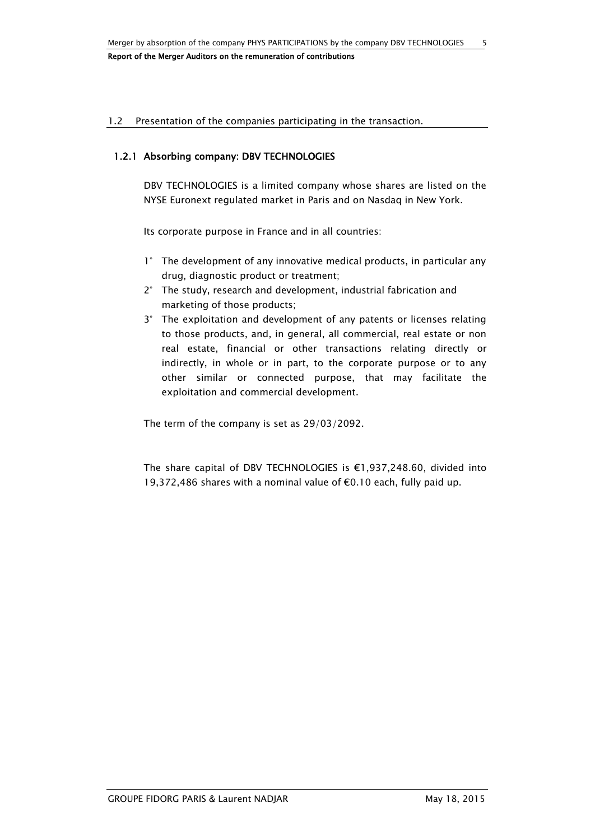#### 1.2 Presentation of the companies participating in the transaction.

## 1.2.1 Absorbing company: DBV TECHNOLOGIES

DBV TECHNOLOGIES is a limited company whose shares are listed on the NYSE Euronext regulated market in Paris and on Nasdaq in New York.

Its corporate purpose in France and in all countries:

- 1° The development of any innovative medical products, in particular any drug, diagnostic product or treatment;
- 2° The study, research and development, industrial fabrication and marketing of those products;
- 3° The exploitation and development of any patents or licenses relating to those products, and, in general, all commercial, real estate or non real estate, financial or other transactions relating directly or indirectly, in whole or in part, to the corporate purpose or to any other similar or connected purpose, that may facilitate the exploitation and commercial development.

The term of the company is set as 29/03/2092.

The share capital of DBV TECHNOLOGIES is €1,937,248.60, divided into 19,372,486 shares with a nominal value of €0.10 each, fully paid up.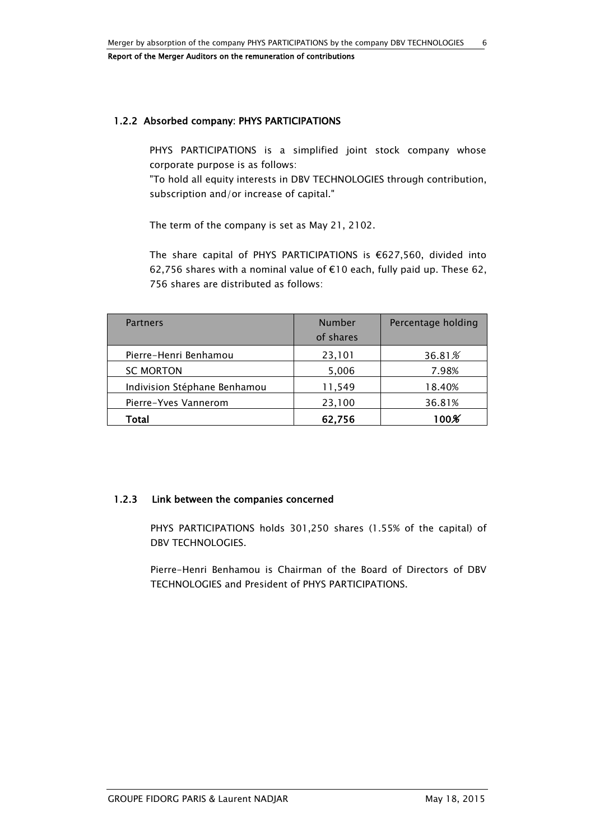# 1.2.2 Absorbed company: PHYS PARTICIPATIONS

PHYS PARTICIPATIONS is a simplified joint stock company whose corporate purpose is as follows:

"To hold all equity interests in DBV TECHNOLOGIES through contribution, subscription and/or increase of capital."

The term of the company is set as May 21, 2102.

The share capital of PHYS PARTICIPATIONS is €627,560, divided into 62,756 shares with a nominal value of €10 each, fully paid up. These 62, 756 shares are distributed as follows:

| <b>Partners</b>              | Number<br>of shares | Percentage holding |
|------------------------------|---------------------|--------------------|
| Pierre-Henri Benhamou        | 23,101              | 36.81%             |
| <b>SC MORTON</b>             | 5,006               | 7.98%              |
| Indivision Stéphane Benhamou | 11,549              | 18.40%             |
| Pierre-Yves Vannerom         | 23,100              | 36.81%             |
| Total                        | 62,756              | $100\%$            |

# 1.2.3 Link between the companies concerned

PHYS PARTICIPATIONS holds 301,250 shares (1.55% of the capital) of DBV TECHNOLOGIES.

Pierre-Henri Benhamou is Chairman of the Board of Directors of DBV TECHNOLOGIES and President of PHYS PARTICIPATIONS.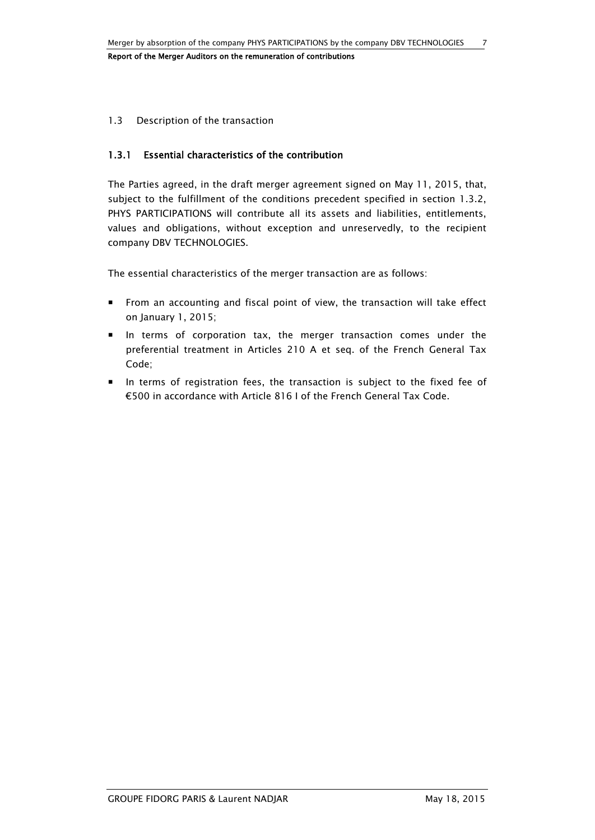## 1.3 Description of the transaction

## 1.3.1 Essential characteristics of the contribution

The Parties agreed, in the draft merger agreement signed on May 11, 2015, that, subject to the fulfillment of the conditions precedent specified in section 1.3.2, PHYS PARTICIPATIONS will contribute all its assets and liabilities, entitlements, values and obligations, without exception and unreservedly, to the recipient company DBV TECHNOLOGIES.

The essential characteristics of the merger transaction are as follows:

- From an accounting and fiscal point of view, the transaction will take effect on January 1, 2015;
- In terms of corporation tax, the merger transaction comes under the preferential treatment in Articles 210 A et seq. of the French General Tax Code;
- In terms of registration fees, the transaction is subject to the fixed fee of €500 in accordance with Article 816 I of the French General Tax Code.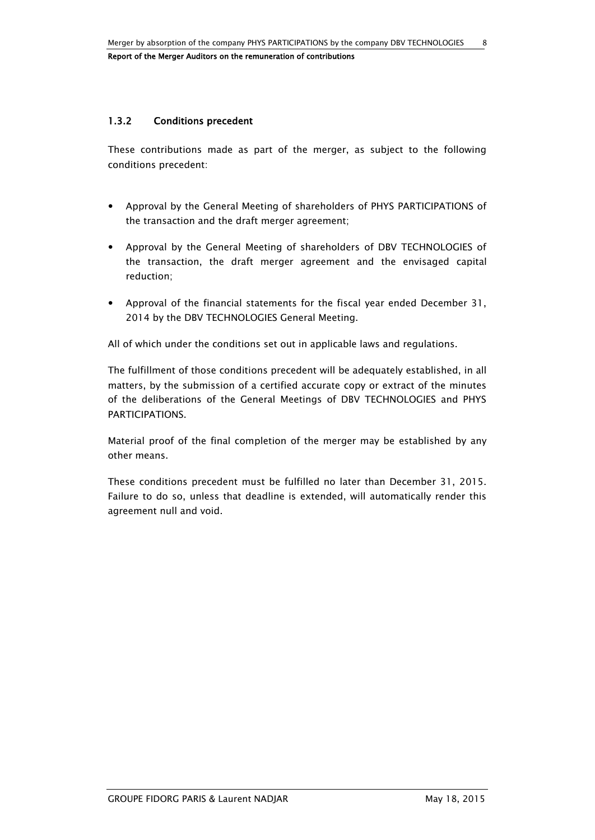# 1.3.2 Conditions precedent

These contributions made as part of the merger, as subject to the following conditions precedent:

- Approval by the General Meeting of shareholders of PHYS PARTICIPATIONS of the transaction and the draft merger agreement;
- Approval by the General Meeting of shareholders of DBV TECHNOLOGIES of the transaction, the draft merger agreement and the envisaged capital reduction;
- Approval of the financial statements for the fiscal year ended December 31, 2014 by the DBV TECHNOLOGIES General Meeting.

All of which under the conditions set out in applicable laws and regulations.

The fulfillment of those conditions precedent will be adequately established, in all matters, by the submission of a certified accurate copy or extract of the minutes of the deliberations of the General Meetings of DBV TECHNOLOGIES and PHYS PARTICIPATIONS.

Material proof of the final completion of the merger may be established by any other means.

These conditions precedent must be fulfilled no later than December 31, 2015. Failure to do so, unless that deadline is extended, will automatically render this agreement null and void.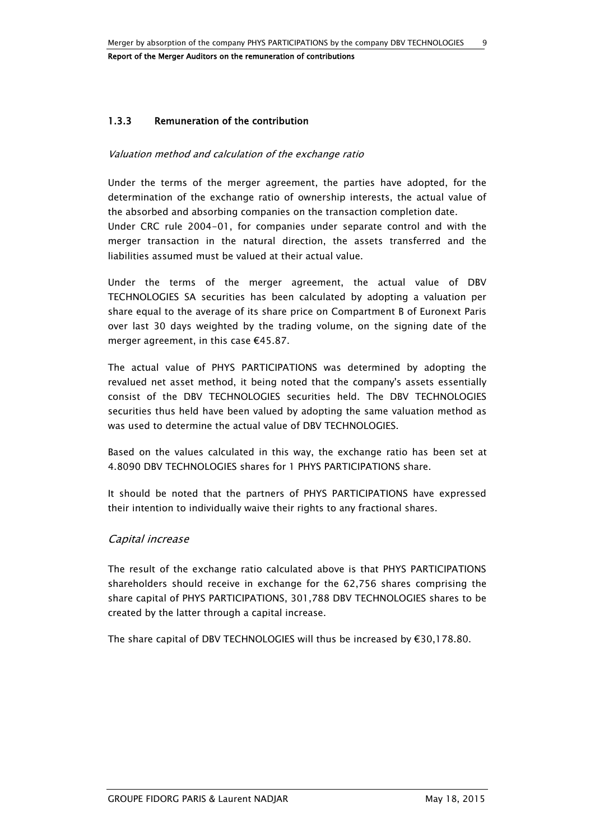Report of the Merger Auditors on the remuneration of contributions

# 1.3.3 Remuneration of the contribution

#### Valuation method and calculation of the exchange ratio

Under the terms of the merger agreement, the parties have adopted, for the determination of the exchange ratio of ownership interests, the actual value of the absorbed and absorbing companies on the transaction completion date.

Under CRC rule 2004-01, for companies under separate control and with the merger transaction in the natural direction, the assets transferred and the liabilities assumed must be valued at their actual value.

Under the terms of the merger agreement, the actual value of DBV TECHNOLOGIES SA securities has been calculated by adopting a valuation per share equal to the average of its share price on Compartment B of Euronext Paris over last 30 days weighted by the trading volume, on the signing date of the merger agreement, in this case €45.87.

The actual value of PHYS PARTICIPATIONS was determined by adopting the revalued net asset method, it being noted that the company's assets essentially consist of the DBV TECHNOLOGIES securities held. The DBV TECHNOLOGIES securities thus held have been valued by adopting the same valuation method as was used to determine the actual value of DBV TECHNOLOGIES.

Based on the values calculated in this way, the exchange ratio has been set at 4.8090 DBV TECHNOLOGIES shares for 1 PHYS PARTICIPATIONS share.

It should be noted that the partners of PHYS PARTICIPATIONS have expressed their intention to individually waive their rights to any fractional shares.

# Capital increase

The result of the exchange ratio calculated above is that PHYS PARTICIPATIONS shareholders should receive in exchange for the 62,756 shares comprising the share capital of PHYS PARTICIPATIONS, 301,788 DBV TECHNOLOGIES shares to be created by the latter through a capital increase.

The share capital of DBV TECHNOLOGIES will thus be increased by €30,178.80.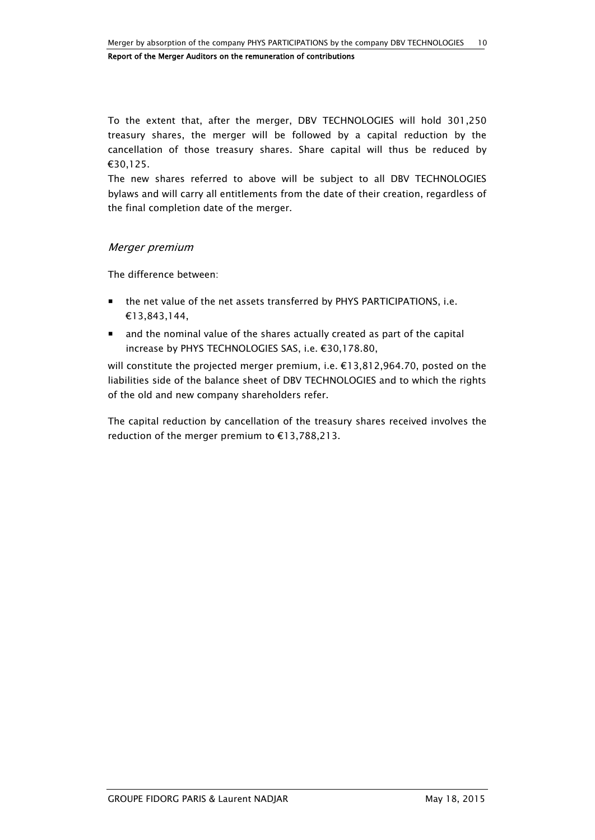To the extent that, after the merger, DBV TECHNOLOGIES will hold 301,250 treasury shares, the merger will be followed by a capital reduction by the cancellation of those treasury shares. Share capital will thus be reduced by €30,125.

The new shares referred to above will be subject to all DBV TECHNOLOGIES bylaws and will carry all entitlements from the date of their creation, regardless of the final completion date of the merger.

# Merger premium

The difference between:

- the net value of the net assets transferred by PHYS PARTICIPATIONS, i.e. €13,843,144,
- and the nominal value of the shares actually created as part of the capital increase by PHYS TECHNOLOGIES SAS, i.e. €30,178.80,

will constitute the projected merger premium, i.e. €13,812,964.70, posted on the liabilities side of the balance sheet of DBV TECHNOLOGIES and to which the rights of the old and new company shareholders refer.

The capital reduction by cancellation of the treasury shares received involves the reduction of the merger premium to €13,788,213.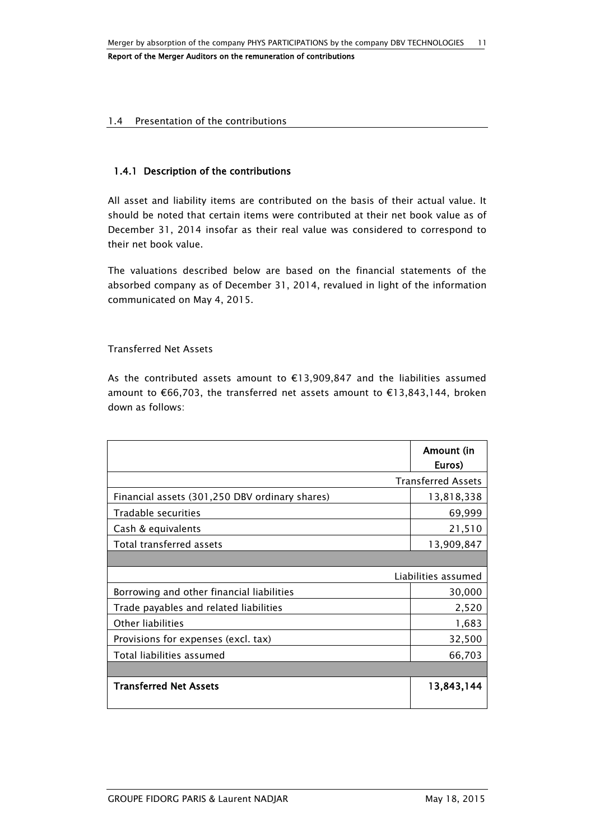#### 1.4 Presentation of the contributions

# 1.4.1 Description of the contributions

All asset and liability items are contributed on the basis of their actual value. It should be noted that certain items were contributed at their net book value as of December 31, 2014 insofar as their real value was considered to correspond to their net book value.

The valuations described below are based on the financial statements of the absorbed company as of December 31, 2014, revalued in light of the information communicated on May 4, 2015.

#### Transferred Net Assets

As the contributed assets amount to €13,909,847 and the liabilities assumed amount to €66,703, the transferred net assets amount to €13,843,144, broken down as follows:

|                                                | Amount (in<br>Euros)      |
|------------------------------------------------|---------------------------|
|                                                | <b>Transferred Assets</b> |
| Financial assets (301,250 DBV ordinary shares) | 13,818,338                |
| Tradable securities                            | 69,999                    |
| Cash & equivalents                             | 21,510                    |
| Total transferred assets                       | 13,909,847                |
|                                                |                           |
|                                                | Liabilities assumed       |
| Borrowing and other financial liabilities      | 30,000                    |
| Trade payables and related liabilities         | 2,520                     |
| Other liabilities                              | 1,683                     |
| Provisions for expenses (excl. tax)            | 32,500                    |
| Total liabilities assumed                      | 66,703                    |
|                                                |                           |
| <b>Transferred Net Assets</b>                  | 13,843,144                |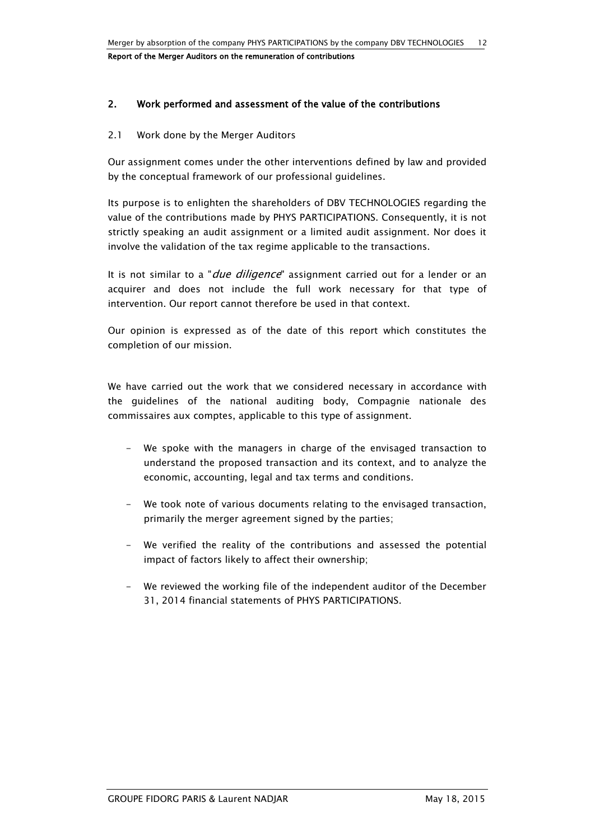# 2. Work performed and assessment of the value of the contributions

#### 2.1 Work done by the Merger Auditors

Our assignment comes under the other interventions defined by law and provided by the conceptual framework of our professional guidelines.

Its purpose is to enlighten the shareholders of DBV TECHNOLOGIES regarding the value of the contributions made by PHYS PARTICIPATIONS. Consequently, it is not strictly speaking an audit assignment or a limited audit assignment. Nor does it involve the validation of the tax regime applicable to the transactions.

It is not similar to a "*due diligence*" assignment carried out for a lender or an acquirer and does not include the full work necessary for that type of intervention. Our report cannot therefore be used in that context.

Our opinion is expressed as of the date of this report which constitutes the completion of our mission.

We have carried out the work that we considered necessary in accordance with the guidelines of the national auditing body, Compagnie nationale des commissaires aux comptes, applicable to this type of assignment.

- We spoke with the managers in charge of the envisaged transaction to understand the proposed transaction and its context, and to analyze the economic, accounting, legal and tax terms and conditions.
- We took note of various documents relating to the envisaged transaction, primarily the merger agreement signed by the parties;
- We verified the reality of the contributions and assessed the potential impact of factors likely to affect their ownership;
- We reviewed the working file of the independent auditor of the December 31, 2014 financial statements of PHYS PARTICIPATIONS.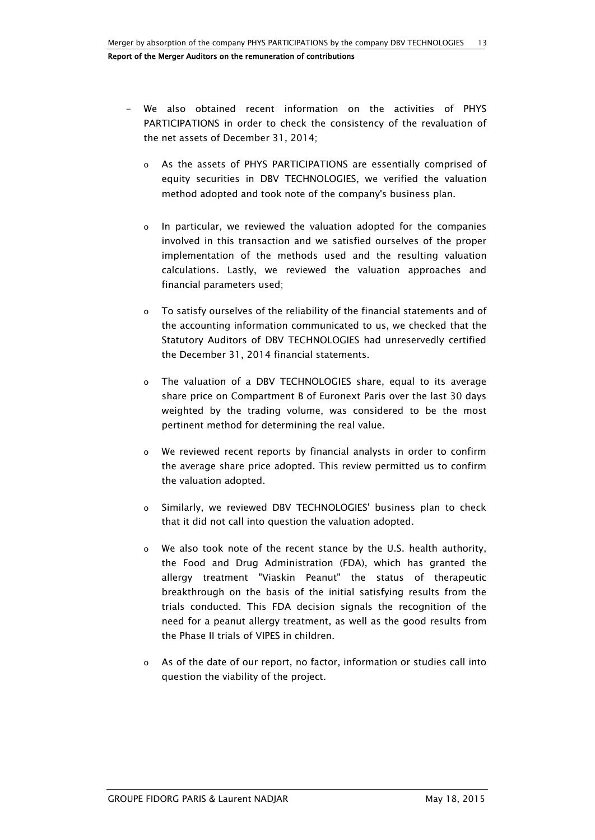- We also obtained recent information on the activities of PHYS PARTICIPATIONS in order to check the consistency of the revaluation of the net assets of December 31, 2014;
	- o As the assets of PHYS PARTICIPATIONS are essentially comprised of equity securities in DBV TECHNOLOGIES, we verified the valuation method adopted and took note of the company's business plan.
	- o In particular, we reviewed the valuation adopted for the companies involved in this transaction and we satisfied ourselves of the proper implementation of the methods used and the resulting valuation calculations. Lastly, we reviewed the valuation approaches and financial parameters used;
	- o To satisfy ourselves of the reliability of the financial statements and of the accounting information communicated to us, we checked that the Statutory Auditors of DBV TECHNOLOGIES had unreservedly certified the December 31, 2014 financial statements.
	- o The valuation of a DBV TECHNOLOGIES share, equal to its average share price on Compartment B of Euronext Paris over the last 30 days weighted by the trading volume, was considered to be the most pertinent method for determining the real value.
	- o We reviewed recent reports by financial analysts in order to confirm the average share price adopted. This review permitted us to confirm the valuation adopted.
	- o Similarly, we reviewed DBV TECHNOLOGIES' business plan to check that it did not call into question the valuation adopted.
	- o We also took note of the recent stance by the U.S. health authority, the Food and Drug Administration (FDA), which has granted the allergy treatment "Viaskin Peanut" the status of therapeutic breakthrough on the basis of the initial satisfying results from the trials conducted. This FDA decision signals the recognition of the need for a peanut allergy treatment, as well as the good results from the Phase II trials of VIPES in children.
	- o As of the date of our report, no factor, information or studies call into question the viability of the project.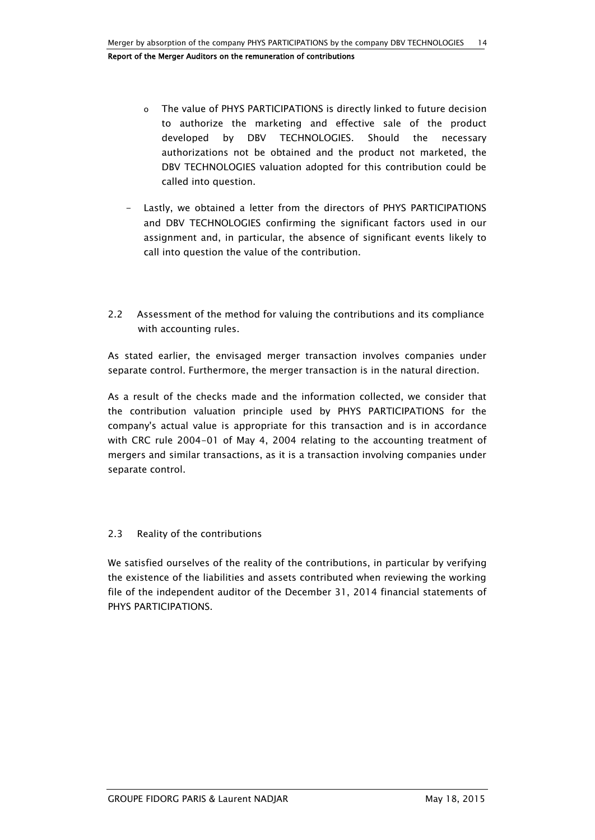- o The value of PHYS PARTICIPATIONS is directly linked to future decision to authorize the marketing and effective sale of the product developed by DBV TECHNOLOGIES. Should the necessary authorizations not be obtained and the product not marketed, the DBV TECHNOLOGIES valuation adopted for this contribution could be called into question.
- Lastly, we obtained a letter from the directors of PHYS PARTICIPATIONS and DBV TECHNOLOGIES confirming the significant factors used in our assignment and, in particular, the absence of significant events likely to call into question the value of the contribution.
- 2.2 Assessment of the method for valuing the contributions and its compliance with accounting rules.

As stated earlier, the envisaged merger transaction involves companies under separate control. Furthermore, the merger transaction is in the natural direction.

As a result of the checks made and the information collected, we consider that the contribution valuation principle used by PHYS PARTICIPATIONS for the company's actual value is appropriate for this transaction and is in accordance with CRC rule 2004-01 of May 4, 2004 relating to the accounting treatment of mergers and similar transactions, as it is a transaction involving companies under separate control.

# 2.3 Reality of the contributions

We satisfied ourselves of the reality of the contributions, in particular by verifying the existence of the liabilities and assets contributed when reviewing the working file of the independent auditor of the December 31, 2014 financial statements of PHYS PARTICIPATIONS.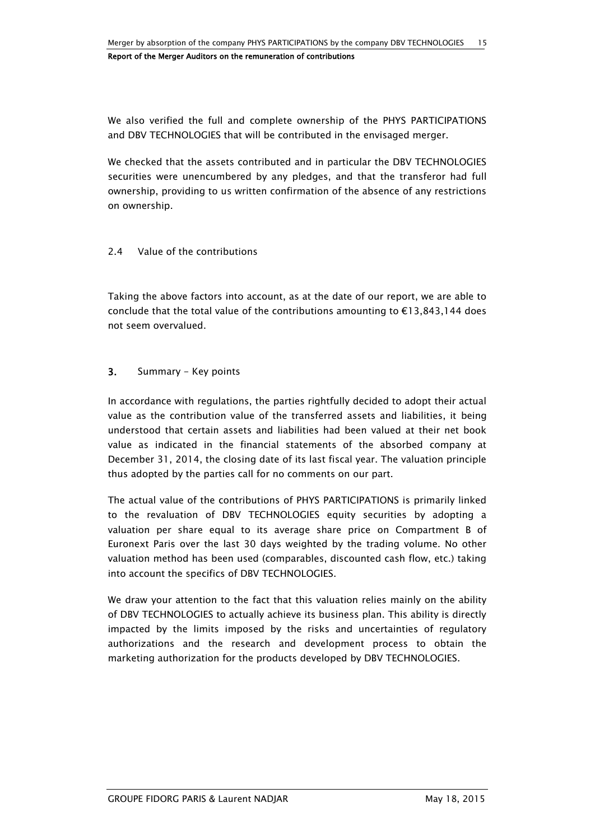We also verified the full and complete ownership of the PHYS PARTICIPATIONS and DBV TECHNOLOGIES that will be contributed in the envisaged merger.

We checked that the assets contributed and in particular the DBV TECHNOLOGIES securities were unencumbered by any pledges, and that the transferor had full ownership, providing to us written confirmation of the absence of any restrictions on ownership.

## 2.4 Value of the contributions

Taking the above factors into account, as at the date of our report, we are able to conclude that the total value of the contributions amounting to  $\epsilon$ 13,843,144 does not seem overvalued.

## 3. Summary - Key points

In accordance with regulations, the parties rightfully decided to adopt their actual value as the contribution value of the transferred assets and liabilities, it being understood that certain assets and liabilities had been valued at their net book value as indicated in the financial statements of the absorbed company at December 31, 2014, the closing date of its last fiscal year. The valuation principle thus adopted by the parties call for no comments on our part.

The actual value of the contributions of PHYS PARTICIPATIONS is primarily linked to the revaluation of DBV TECHNOLOGIES equity securities by adopting a valuation per share equal to its average share price on Compartment B of Euronext Paris over the last 30 days weighted by the trading volume. No other valuation method has been used (comparables, discounted cash flow, etc.) taking into account the specifics of DBV TECHNOLOGIES.

We draw your attention to the fact that this valuation relies mainly on the ability of DBV TECHNOLOGIES to actually achieve its business plan. This ability is directly impacted by the limits imposed by the risks and uncertainties of regulatory authorizations and the research and development process to obtain the marketing authorization for the products developed by DBV TECHNOLOGIES.